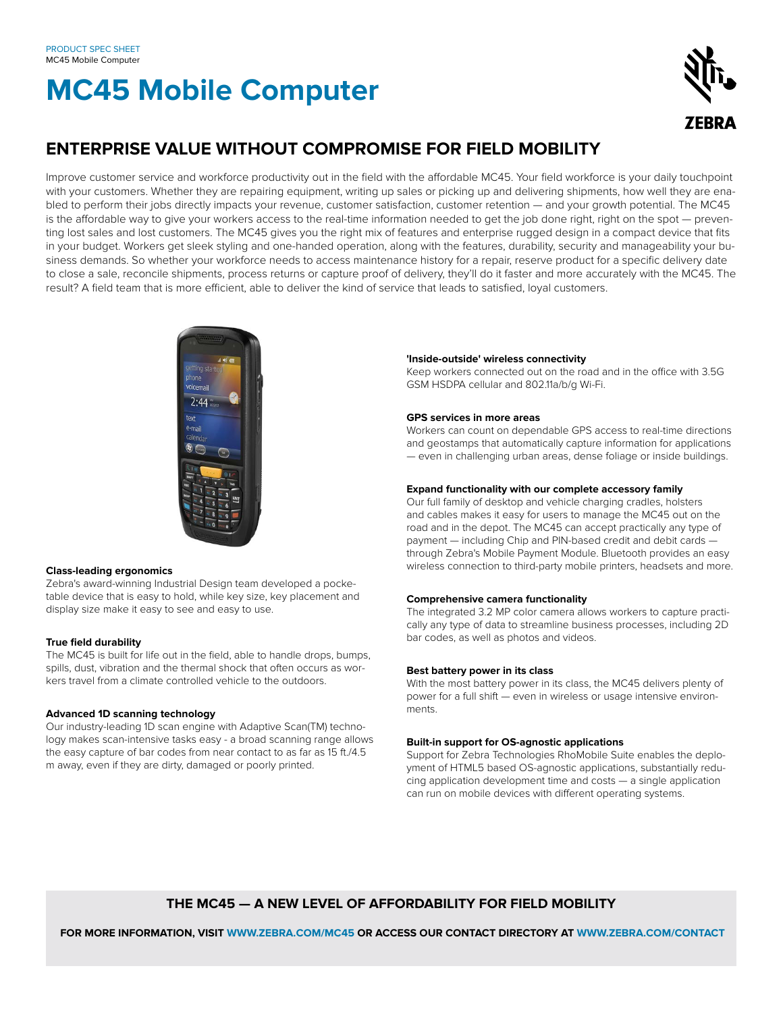# **MC45 Mobile Computer**



# **ENTERPRISE VALUE WITHOUT COMPROMISE FOR FIELD MOBILITY**

Improve customer service and workforce productivity out in the field with the affordable MC45. Your field workforce is your daily touchpoint with your customers. Whether they are repairing equipment, writing up sales or picking up and delivering shipments, how well they are enabled to perform their jobs directly impacts your revenue, customer satisfaction, customer retention — and your growth potential. The MC45 is the affordable way to give your workers access to the real-time information needed to get the job done right, right on the spot — preventing lost sales and lost customers. The MC45 gives you the right mix of features and enterprise rugged design in a compact device that fits in your budget. Workers get sleek styling and one-handed operation, along with the features, durability, security and manageability your business demands. So whether your workforce needs to access maintenance history for a repair, reserve product for a specific delivery date to close a sale, reconcile shipments, process returns or capture proof of delivery, they'll do it faster and more accurately with the MC45. The result? A field team that is more efficient, able to deliver the kind of service that leads to satisfied, loyal customers.



# **Class-leading ergonomics**

Zebra's award-winning Industrial Design team developed a pocketable device that is easy to hold, while key size, key placement and display size make it easy to see and easy to use.

# **True field durability**

The MC45 is built for life out in the field, able to handle drops, bumps, spills, dust, vibration and the thermal shock that often occurs as workers travel from a climate controlled vehicle to the outdoors.

# **Advanced 1D scanning technology**

Our industry-leading 1D scan engine with Adaptive Scan(TM) technology makes scan-intensive tasks easy - a broad scanning range allows the easy capture of bar codes from near contact to as far as 15 ft./4.5 m away, even if they are dirty, damaged or poorly printed.

#### **'Inside-outside' wireless connectivity**

Keep workers connected out on the road and in the office with 3.5G GSM HSDPA cellular and 802.11a/b/g Wi-Fi.

# **GPS services in more areas**

Workers can count on dependable GPS access to real-time directions and geostamps that automatically capture information for applications — even in challenging urban areas, dense foliage or inside buildings.

# **Expand functionality with our complete accessory family**

Our full family of desktop and vehicle charging cradles, holsters and cables makes it easy for users to manage the MC45 out on the road and in the depot. The MC45 can accept practically any type of payment — including Chip and PIN-based credit and debit cards through Zebra's Mobile Payment Module. Bluetooth provides an easy wireless connection to third-party mobile printers, headsets and more.

# **Comprehensive camera functionality**

The integrated 3.2 MP color camera allows workers to capture practically any type of data to streamline business processes, including 2D bar codes, as well as photos and videos.

# **Best battery power in its class**

With the most battery power in its class, the MC45 delivers plenty of power for a full shift — even in wireless or usage intensive environments.

# **Built-in support for OS-agnostic applications**

Support for Zebra Technologies RhoMobile Suite enables the deployment of HTML5 based OS-agnostic applications, substantially reducing application development time and costs — a single application can run on mobile devices with different operating systems.

# **THE MC45 — A NEW LEVEL OF AFFORDABILITY FOR FIELD MOBILITY**

 **FOR MORE INFORMATION, VISIT WWW.ZEBRA.COM/MC45 OR ACCESS OUR CONTACT DIRECTORY AT WWW.ZEBRA.COM/CONTACT**